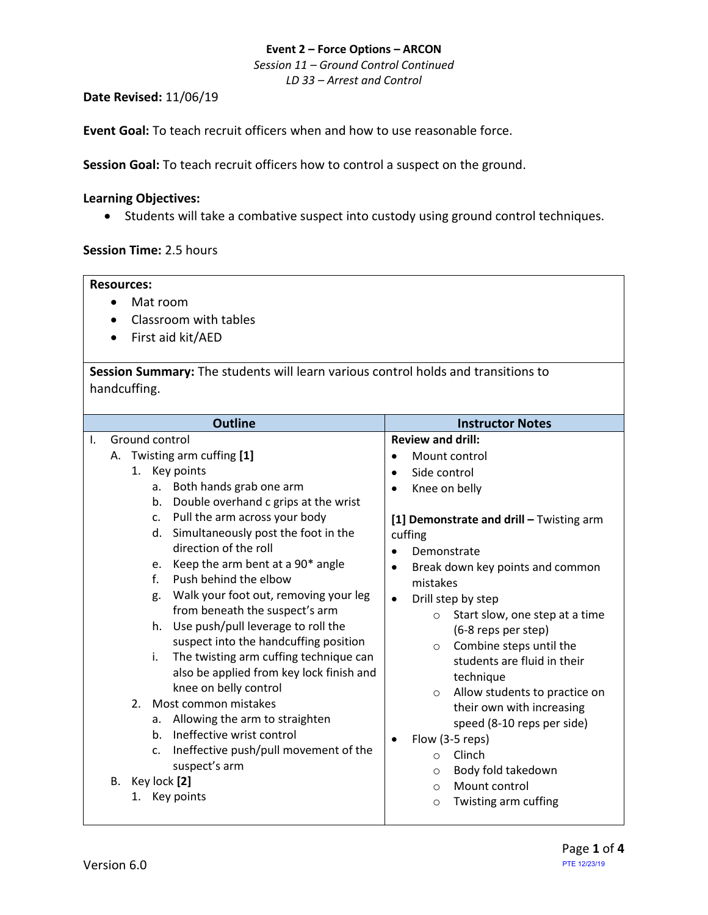*Session 11 – Ground Control Continued LD 33 – Arrest and Control*

**Date Revised:** 11/06/19

**Event Goal:** To teach recruit officers when and how to use reasonable force.

**Session Goal:** To teach recruit officers how to control a suspect on the ground.

### **Learning Objectives:**

• Students will take a combative suspect into custody using ground control techniques.

### **Session Time:** 2.5 hours

#### **Resources:**

- Mat room
- Classroom with tables
- First aid kit/AED

**Session Summary:** The students will learn various control holds and transitions to handcuffing.

| <b>Outline</b><br>Ground control                                                                                                                                                                                                                                                                                                                                                                                                                                                                                                                                                                                                                                                                                                                                                                                                                                                              | <b>Instructor Notes</b>                                                                                                                                                                                                                                                                                                                                                                                                                                                                                                                                                       |
|-----------------------------------------------------------------------------------------------------------------------------------------------------------------------------------------------------------------------------------------------------------------------------------------------------------------------------------------------------------------------------------------------------------------------------------------------------------------------------------------------------------------------------------------------------------------------------------------------------------------------------------------------------------------------------------------------------------------------------------------------------------------------------------------------------------------------------------------------------------------------------------------------|-------------------------------------------------------------------------------------------------------------------------------------------------------------------------------------------------------------------------------------------------------------------------------------------------------------------------------------------------------------------------------------------------------------------------------------------------------------------------------------------------------------------------------------------------------------------------------|
| Τ.<br>A. Twisting arm cuffing [1]<br>$\bullet$<br>1. Key points<br>$\bullet$<br>Both hands grab one arm<br>a.<br>Double overhand c grips at the wrist<br>b.<br>Pull the arm across your body<br>c.<br>Simultaneously post the foot in the<br>d.<br>cuffing<br>direction of the roll<br>Keep the arm bent at a 90* angle<br>e.<br>$\bullet$<br>Push behind the elbow<br>f.<br>Walk your foot out, removing your leg<br>g.<br>$\bullet$<br>from beneath the suspect's arm<br>Use push/pull leverage to roll the<br>h.<br>suspect into the handcuffing position<br>The twisting arm cuffing technique can<br>i.<br>also be applied from key lock finish and<br>knee on belly control<br>Most common mistakes<br>2.<br>Allowing the arm to straighten<br>a.<br>Ineffective wrist control<br>b.<br>$\bullet$<br>Ineffective push/pull movement of the<br>c.<br>suspect's arm<br>Key lock [2]<br>В. | <b>Review and drill:</b><br>Mount control<br>Side control<br>Knee on belly<br>[1] Demonstrate and drill - Twisting arm<br>Demonstrate<br>Break down key points and common<br>mistakes<br>Drill step by step<br>Start slow, one step at a time<br>$\circ$<br>(6-8 reps per step)<br>Combine steps until the<br>$\circ$<br>students are fluid in their<br>technique<br>Allow students to practice on<br>$\circ$<br>their own with increasing<br>speed (8-10 reps per side)<br>Flow (3-5 reps)<br>Clinch<br>$\circ$<br>Body fold takedown<br>$\circ$<br>Mount control<br>$\circ$ |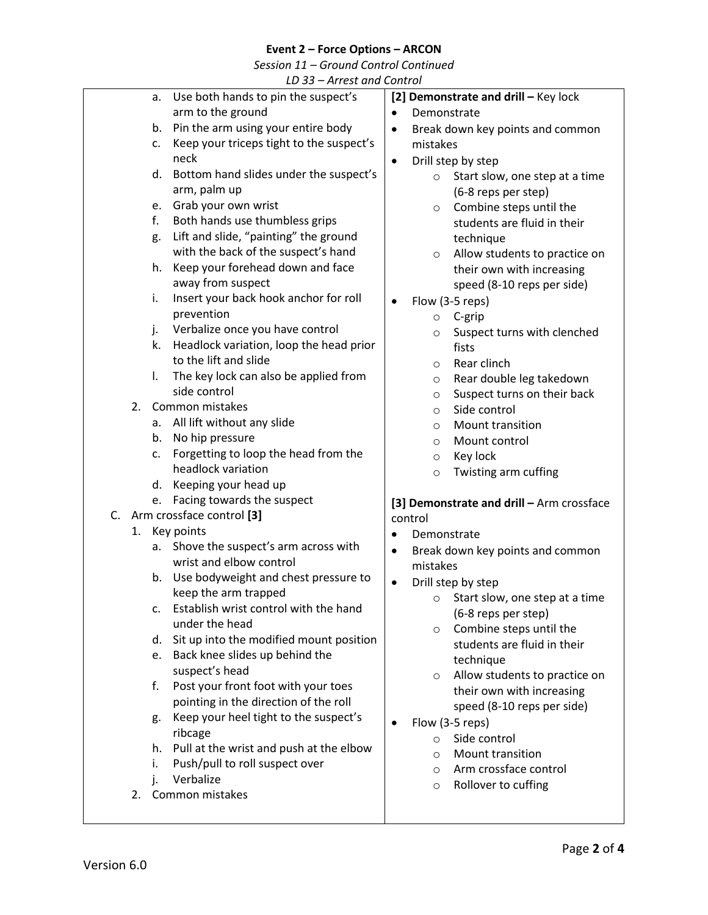*Session 11 – Ground Control Continued*

| LD 33 - Arrest and Control |    |                                          |                                               |
|----------------------------|----|------------------------------------------|-----------------------------------------------|
|                            | а. | Use both hands to pin the suspect's      | [2] Demonstrate and drill - Key lock          |
|                            |    | arm to the ground                        | Demonstrate<br>$\bullet$                      |
|                            | b. | Pin the arm using your entire body       | Break down key points and common<br>$\bullet$ |
|                            | c. | Keep your triceps tight to the suspect's | mistakes                                      |
|                            |    | neck                                     | Drill step by step<br>$\bullet$               |
|                            | d. | Bottom hand slides under the suspect's   | Start slow, one step at a time<br>$\circ$     |
|                            |    | arm, palm up                             | (6-8 reps per step)                           |
|                            | e. | Grab your own wrist                      | Combine steps until the<br>O                  |
|                            | f. | Both hands use thumbless grips           | students are fluid in their                   |
|                            | g. | Lift and slide, "painting" the ground    | technique                                     |
|                            |    | with the back of the suspect's hand      | Allow students to practice on<br>$\circ$      |
|                            | h. | Keep your forehead down and face         | their own with increasing                     |
|                            |    | away from suspect                        | speed (8-10 reps per side)                    |
|                            | i. | Insert your back hook anchor for roll    | Flow (3-5 reps)<br>$\bullet$                  |
|                            |    | prevention                               | C-grip<br>$\circ$                             |
|                            | j. | Verbalize once you have control          | Suspect turns with clenched<br>O              |
|                            | k. | Headlock variation, loop the head prior  | fists                                         |
|                            |    | to the lift and slide                    | Rear clinch<br>$\circ$                        |
|                            | I. | The key lock can also be applied from    | Rear double leg takedown<br>$\circ$           |
|                            |    | side control                             | Suspect turns on their back<br>$\circ$        |
|                            | 2. | Common mistakes                          | Side control<br>$\circ$                       |
|                            | a. | All lift without any slide               | Mount transition<br>$\circ$                   |
|                            | b. | No hip pressure                          | Mount control<br>$\circ$                      |
|                            | c. | Forgetting to loop the head from the     | Key lock<br>$\circ$                           |
|                            |    | headlock variation                       | Twisting arm cuffing<br>$\circ$               |
|                            | d. | Keeping your head up                     |                                               |
|                            | e. | Facing towards the suspect               | [3] Demonstrate and drill - Arm crossface     |
| C.                         |    | Arm crossface control [3]                | control                                       |
|                            | 1. | Key points                               | Demonstrate<br>$\bullet$                      |
|                            | а. | Shove the suspect's arm across with      | Break down key points and common<br>$\bullet$ |
|                            |    | wrist and elbow control                  | mistakes                                      |
|                            | b. | Use bodyweight and chest pressure to     | Drill step by step<br>$\bullet$               |
|                            |    | keep the arm trapped                     | Start slow, one step at a time<br>$\circ$     |
|                            | c. | Establish wrist control with the hand    | (6-8 reps per step)                           |
|                            |    | under the head                           | Combine steps until the<br>$\circ$            |
|                            | d. | Sit up into the modified mount position  | students are fluid in their                   |
|                            |    | Back knee slides up behind the<br>e.     | technique                                     |
|                            |    | suspect's head                           | Allow students to practice on<br>$\circ$      |
|                            | f. | Post your front foot with your toes      | their own with increasing                     |
|                            |    | pointing in the direction of the roll    | speed (8-10 reps per side)                    |
|                            | g. | Keep your heel tight to the suspect's    | Flow (3-5 reps)<br>$\bullet$                  |
|                            |    | ribcage                                  | Side control<br>$\circ$                       |
|                            | h. | Pull at the wrist and push at the elbow  | Mount transition<br>$\circ$                   |
|                            | i. | Push/pull to roll suspect over           | Arm crossface control<br>O                    |
|                            | j. | Verbalize                                | Rollover to cuffing<br>$\circ$                |
|                            | 2. | Common mistakes                          |                                               |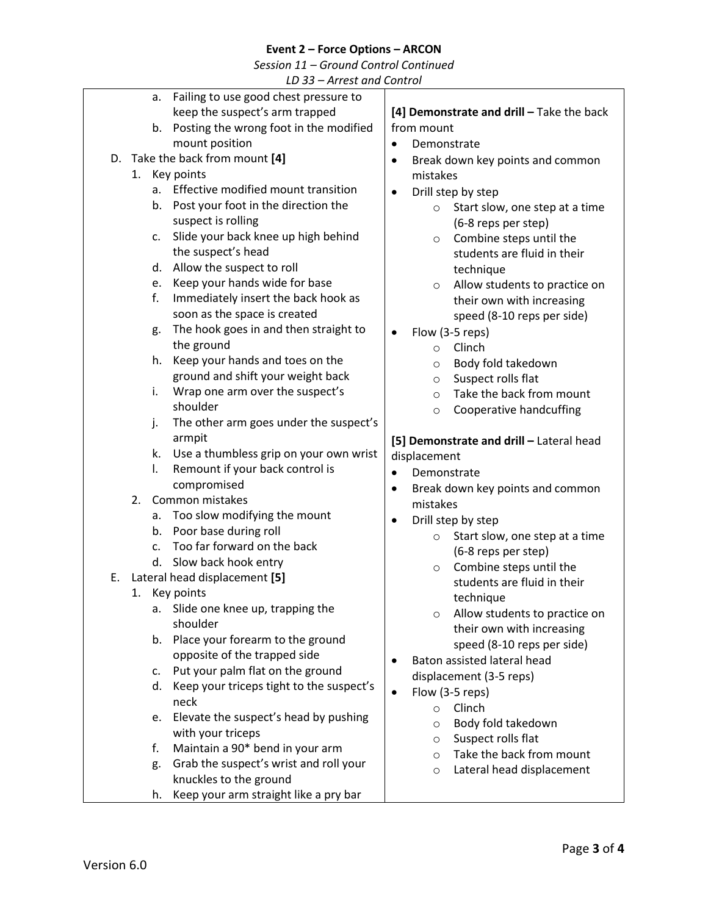*Session 11 – Ground Control Continued*

*LD 33 – Arrest and Control*

| a.            | Failing to use good chest pressure to    |                                                   |
|---------------|------------------------------------------|---------------------------------------------------|
|               | keep the suspect's arm trapped           | [4] Demonstrate and drill - Take the back         |
| b.            | Posting the wrong foot in the modified   | from mount                                        |
|               | mount position                           | Demonstrate<br>$\bullet$                          |
|               | D. Take the back from mount [4]          | Break down key points and common<br>$\bullet$     |
| 1. Key points |                                          | mistakes                                          |
| a.            | Effective modified mount transition      | Drill step by step<br>$\bullet$                   |
| b.            | Post your foot in the direction the      | Start slow, one step at a time<br>$\circ$         |
|               | suspect is rolling                       | (6-8 reps per step)                               |
| c.            | Slide your back knee up high behind      | Combine steps until the<br>$\circ$                |
|               | the suspect's head                       | students are fluid in their                       |
| d.            | Allow the suspect to roll                | technique                                         |
| e.            | Keep your hands wide for base            | Allow students to practice on<br>$\circ$          |
| f.            | Immediately insert the back hook as      | their own with increasing                         |
|               | soon as the space is created             | speed (8-10 reps per side)                        |
| g.            | The hook goes in and then straight to    | Flow (3-5 reps)<br>$\bullet$                      |
|               | the ground                               | Clinch<br>$\circ$                                 |
| h.            | Keep your hands and toes on the          | Body fold takedown<br>$\circ$                     |
|               | ground and shift your weight back        | Suspect rolls flat<br>$\circ$                     |
| i.            | Wrap one arm over the suspect's          | Take the back from mount<br>$\circ$               |
|               | shoulder                                 | Cooperative handcuffing<br>$\circ$                |
| j.            | The other arm goes under the suspect's   |                                                   |
|               | armpit                                   | [5] Demonstrate and drill - Lateral head          |
| k.            | Use a thumbless grip on your own wrist   | displacement                                      |
| I.            | Remount if your back control is          | Demonstrate<br>$\bullet$                          |
|               | compromised                              | Break down key points and common<br>$\bullet$     |
| 2.            | Common mistakes                          | mistakes                                          |
| a.            | Too slow modifying the mount             | Drill step by step<br>$\bullet$                   |
| b.            | Poor base during roll                    | Start slow, one step at a time<br>$\circ$         |
| c.            | Too far forward on the back              | (6-8 reps per step)                               |
|               | d. Slow back hook entry                  | Combine steps until the<br>$\circ$                |
| Ε.            | Lateral head displacement [5]            | students are fluid in their                       |
| 1. Key points |                                          | technique                                         |
| а.            | Slide one knee up, trapping the          | Allow students to practice on<br>O                |
|               | shoulder                                 | their own with increasing                         |
| b.            | Place your forearm to the ground         | speed (8-10 reps per side)                        |
|               | opposite of the trapped side             | Baton assisted lateral head                       |
| c.            | Put your palm flat on the ground         | displacement (3-5 reps)                           |
| d.            | Keep your triceps tight to the suspect's |                                                   |
|               | neck                                     | Flow (3-5 reps)<br>$\bullet$<br>Clinch<br>$\circ$ |
| e.            | Elevate the suspect's head by pushing    | Body fold takedown                                |
|               | with your triceps                        | O<br>Suspect rolls flat                           |
| f.            | Maintain a 90* bend in your arm          | $\circ$<br>Take the back from mount               |
| g.            | Grab the suspect's wrist and roll your   | $\circ$                                           |
|               | knuckles to the ground                   | Lateral head displacement<br>$\circ$              |
| h.            | Keep your arm straight like a pry bar    |                                                   |